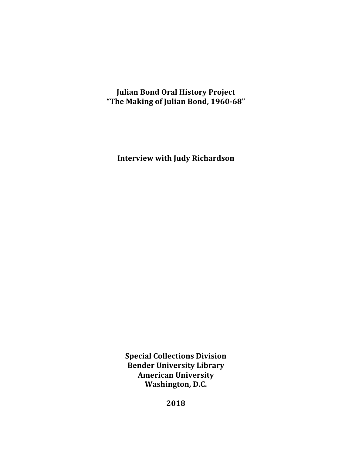# **Julian Bond Oral History Project "The Making of Julian Bond, 1960-68"**

**Interview with Judy Richardson**

**Special Collections Division Bender University Library American University** Washington, D.C.

**2018**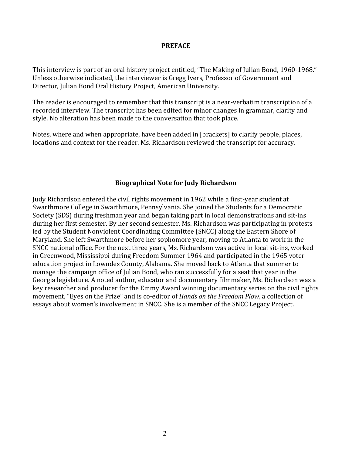#### **PREFACE**

This interview is part of an oral history project entitled, "The Making of Julian Bond, 1960-1968." Unless otherwise indicated, the interviewer is Gregg Ivers, Professor of Government and Director, Julian Bond Oral History Project, American University.

The reader is encouraged to remember that this transcript is a near-verbatim transcription of a recorded interview. The transcript has been edited for minor changes in grammar, clarity and style. No alteration has been made to the conversation that took place.

Notes, where and when appropriate, have been added in [brackets] to clarify people, places, locations and context for the reader. Ms. Richardson reviewed the transcript for accuracy.

#### **Biographical Note for Judy Richardson**

Judy Richardson entered the civil rights movement in 1962 while a first-year student at Swarthmore College in Swarthmore, Pennsylvania. She joined the Students for a Democratic Society (SDS) during freshman year and began taking part in local demonstrations and sit-ins during her first semester. By her second semester, Ms. Richardson was participating in protests led by the Student Nonviolent Coordinating Committee (SNCC) along the Eastern Shore of Maryland. She left Swarthmore before her sophomore year, moving to Atlanta to work in the SNCC national office. For the next three years, Ms. Richardson was active in local sit-ins, worked in Greenwood, Mississippi during Freedom Summer 1964 and participated in the 1965 voter education project in Lowndes County, Alabama. She moved back to Atlanta that summer to manage the campaign office of Julian Bond, who ran successfully for a seat that year in the Georgia legislature. A noted author, educator and documentary filmmaker, Ms. Richardson was a key researcher and producer for the Emmy Award winning documentary series on the civil rights movement, "Eyes on the Prize" and is co-editor of *Hands on the Freedom Plow*, a collection of essays about women's involvement in SNCC. She is a member of the SNCC Legacy Project.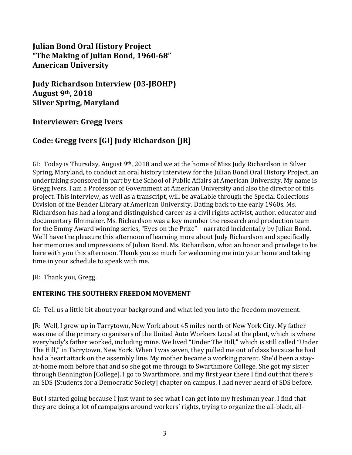# **Julian Bond Oral History Project "The Making of Julian Bond, 1960-68" American University**

**Judy Richardson Interview (03-JBOHP) August 9th, 2018 Silver Spring, Maryland** 

## **Interviewer: Gregg Ivers**

# Code: Gregg Ivers [GI] Judy Richardson [JR]

GI: Today is Thursday, August  $9<sup>th</sup>$ , 2018 and we at the home of Miss Judy Richardson in Silver Spring, Maryland, to conduct an oral history interview for the Julian Bond Oral History Project, an undertaking sponsored in part by the School of Public Affairs at American University. My name is Gregg Ivers. I am a Professor of Government at American University and also the director of this project. This interview, as well as a transcript, will be available through the Special Collections Division of the Bender Library at American University. Dating back to the early 1960s. Ms. Richardson has had a long and distinguished career as a civil rights activist, author, educator and documentary filmmaker. Ms. Richardson was a key member the research and production team for the Emmy Award winning series, "Eyes on the Prize" – narrated incidentally by Julian Bond. We'll have the pleasure this afternoon of learning more about Judy Richardson and specifically her memories and impressions of Julian Bond. Ms. Richardson, what an honor and privilege to be here with you this afternoon. Thank you so much for welcoming me into your home and taking time in your schedule to speak with me.

JR: Thank you, Gregg.

### **ENTERING THE SOUTHERN FREEDOM MOVEMENT**

GI: Tell us a little bit about your background and what led you into the freedom movement.

JR: Well, I grew up in Tarrytown, New York about 45 miles north of New York City. My father was one of the primary organizers of the United Auto Workers Local at the plant, which is where everybody's father worked, including mine. We lived "Under The Hill," which is still called "Under The Hill," in Tarrytown, New York. When I was seven, they pulled me out of class because he had had a heart attack on the assembly line. My mother became a working parent. She'd been a stayat-home mom before that and so she got me through to Swarthmore College. She got my sister through Bennington [College]. I go to Swarthmore, and my first year there I find out that there's an SDS [Students for a Democratic Society] chapter on campus. I had never heard of SDS before.

But I started going because I just want to see what I can get into my freshman year. I find that they are doing a lot of campaigns around workers' rights, trying to organize the all-black, all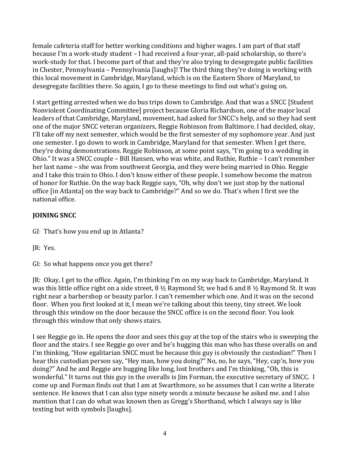female cafeteria staff for better working conditions and higher wages. I am part of that staff because I'm a work-study student - I had received a four-year, all-paid scholarship, so there's work-study for that. I become part of that and they're also trying to desegregate public facilities in Chester, Pennsylvania – Pennsylvania [laughs]! The third thing they're doing is working with this local movement in Cambridge, Maryland, which is on the Eastern Shore of Maryland, to desegregate facilities there. So again, I go to these meetings to find out what's going on.

I start getting arrested when we do bus trips down to Cambridge. And that was a SNCC [Student] Nonviolent Coordinating Committee] project because Gloria Richardson, one of the major local leaders of that Cambridge, Maryland, movement, had asked for SNCC's help, and so they had sent one of the major SNCC veteran organizers, Reggie Robinson from Baltimore. I had decided, okay, I'll take off my next semester, which would be the first semester of my sophomore year. And just one semester. I go down to work in Cambridge, Maryland for that semester. When I get there, they're doing demonstrations. Reggie Robinson, at some point says, "I'm going to a wedding in Ohio." It was a SNCC couple - Bill Hansen, who was white, and Ruthie, Ruthie - I can't remember her last name – she was from southwest Georgia, and they were being married in Ohio. Reggie and I take this train to Ohio. I don't know either of these people. I somehow become the matron of honor for Ruthie. On the way back Reggie says, "Oh, why don't we just stop by the national office [in Atlanta] on the way back to Cambridge?" And so we do. That's when I first see the national office.

# **JOINING SNCC**

- GI: That's how you end up in Atlanta?
- JR: Yes.

GI: So what happens once you get there?

JR: Okay, I get to the office. Again, I'm thinking I'm on my way back to Cambridge, Maryland. It was this little office right on a side street,  $8\frac{1}{2}$  Raymond St; we had 6 and  $8\frac{1}{2}$  Raymond St. It was right near a barbershop or beauty parlor. I can't remember which one. And it was on the second floor. When you first looked at it, I mean we're talking about this teeny, tiny street. We look through this window on the door because the SNCC office is on the second floor. You look through this window that only shows stairs.

I see Reggie go in. He opens the door and sees this guy at the top of the stairs who is sweeping the floor and the stairs. I see Reggie go over and he's hugging this man who has these overalls on and I'm thinking, "How egalitarian SNCC must be because this guy is obviously the custodian!" Then I hear this custodian person say, "Hey man, how you doing?" No, no, he says, "Hey, cap'n, how you doing?" And he and Reggie are hugging like long, lost brothers and I'm thinking, "Oh, this is wonderful." It turns out this guy in the overalls is Jim Forman, the executive secretary of SNCC. I come up and Forman finds out that I am at Swarthmore, so he assumes that I can write a literate sentence. He knows that I can also type ninety words a minute because he asked me. and I also mention that I can do what was known then as Gregg's Shorthand, which I always say is like texting but with symbols [laughs].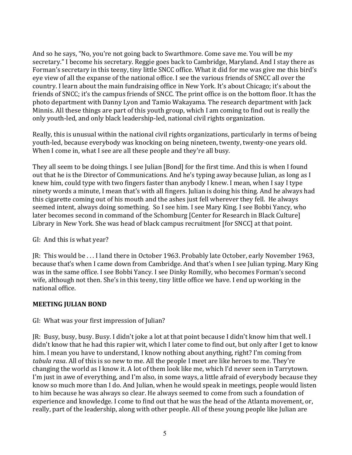And so he says, "No, you're not going back to Swarthmore. Come save me. You will be my secretary." I become his secretary. Reggie goes back to Cambridge, Maryland. And I stay there as Forman's secretary in this teeny, tiny little SNCC office. What it did for me was give me this bird's eye view of all the expanse of the national office. I see the various friends of SNCC all over the country. I learn about the main fundraising office in New York. It's about Chicago; it's about the friends of SNCC; it's the campus friends of SNCC. The print office is on the bottom floor. It has the photo department with Danny Lyon and Tamio Wakayama. The research department with Jack Minnis. All these things are part of this youth group, which I am coming to find out is really the only youth-led, and only black leadership-led, national civil rights organization.

Really, this is unusual within the national civil rights organizations, particularly in terms of being youth-led, because everybody was knocking on being nineteen, twenty, twenty-one years old. When I come in, what I see are all these people and they're all busy.

They all seem to be doing things. I see Julian [Bond] for the first time. And this is when I found out that he is the Director of Communications. And he's typing away because Julian, as long as I knew him, could type with two fingers faster than anybody I knew. I mean, when I say I type ninety words a minute, I mean that's with all fingers. Julian is doing his thing. And he always had this cigarette coming out of his mouth and the ashes just fell wherever they fell. He always seemed intent, always doing something. So I see him. I see Mary King. I see Bobbi Yancy, who later becomes second in command of the Schomburg [Center for Research in Black Culture] Library in New York. She was head of black campus recruitment [for SNCC] at that point.

#### GI: And this is what year?

JR: This would be ... I land there in October 1963. Probably late October, early November 1963, because that's when I came down from Cambridge. And that's when I see Julian typing. Mary King was in the same office. I see Bobbi Yancy. I see Dinky Romilly, who becomes Forman's second wife, although not then. She's in this teeny, tiny little office we have. I end up working in the national office. 

### **MEETING JULIAN BOND**

### GI: What was your first impression of Julian?

JR: Busy, busy, busy. Busy. I didn't joke a lot at that point because I didn't know him that well. I didn't know that he had this rapier wit, which I later come to find out, but only after I get to know him. I mean you have to understand, I know nothing about anything, right? I'm coming from *tabula rasa*. All of this is so new to me. All the people I meet are like heroes to me. They're changing the world as I know it. A lot of them look like me, which I'd never seen in Tarrytown. I'm just in awe of everything, and I'm also, in some ways, a little afraid of everybody because they know so much more than I do. And Julian, when he would speak in meetings, people would listen to him because he was always so clear. He always seemed to come from such a foundation of experience and knowledge. I come to find out that he was the head of the Atlanta movement, or, really, part of the leadership, along with other people. All of these young people like Julian are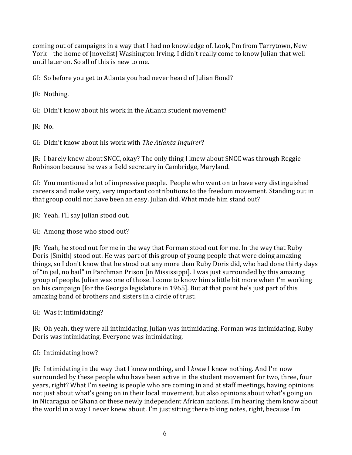coming out of campaigns in a way that I had no knowledge of. Look, I'm from Tarrytown, New York - the home of [novelist] Washington Irving. I didn't really come to know Julian that well until later on. So all of this is new to me.

GI: So before you get to Atlanta you had never heard of Julian Bond?

JR: Nothing.

GI: Didn't know about his work in the Atlanta student movement?

JR: No.

GI: Didn't know about his work with *The Atlanta Inquirer*?

JR: I barely knew about SNCC, okay? The only thing I knew about SNCC was through Reggie Robinson because he was a field secretary in Cambridge, Maryland.

GI: You mentioned a lot of impressive people. People who went on to have very distinguished careers and make very, very important contributions to the freedom movement. Standing out in that group could not have been an easy. Julian did. What made him stand out?

IR: Yeah. I'll say Julian stood out.

GI: Among those who stood out?

JR: Yeah, he stood out for me in the way that Forman stood out for me. In the way that Ruby Doris [Smith] stood out. He was part of this group of young people that were doing amazing things, so I don't know that he stood out any more than Ruby Doris did, who had done thirty days of "in jail, no bail" in Parchman Prison [in Mississippi]. I was just surrounded by this amazing group of people. Julian was one of those. I come to know him a little bit more when I'm working on his campaign [for the Georgia legislature in 1965]. But at that point he's just part of this amazing band of brothers and sisters in a circle of trust.

GI: Was it intimidating?

JR: Oh yeah, they were all intimidating. Julian was intimidating. Forman was intimidating. Ruby Doris was intimidating. Everyone was intimidating.

# GI: Intimidating how?

JR: Intimidating in the way that I knew nothing, and I knew I knew nothing. And I'm now surrounded by these people who have been active in the student movement for two, three, four years, right? What I'm seeing is people who are coming in and at staff meetings, having opinions not just about what's going on in their local movement, but also opinions about what's going on in Nicaragua or Ghana or these newly independent African nations. I'm hearing them know about the world in a way I never knew about. I'm just sitting there taking notes, right, because I'm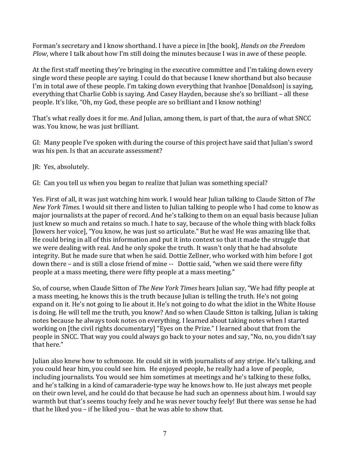Forman's secretary and I know shorthand. I have a piece in [the book], *Hands on the Freedom Plow*, where I talk about how I'm still doing the minutes because I was in awe of these people.

At the first staff meeting they're bringing in the executive committee and I'm taking down every single word these people are saying. I could do that because I knew shorthand but also because I'm in total awe of these people. I'm taking down everything that Ivanhoe [Donaldson] is saying, everything that Charlie Cobb is saying. And Casey Hayden, because she's so brilliant - all these people. It's like, "Oh, my God, these people are so brilliant and I know nothing!

That's what really does it for me. And Julian, among them, is part of that, the aura of what SNCC was. You know, he was just brilliant.

GI: Many people I've spoken with during the course of this project have said that Julian's sword was his pen. Is that an accurate assessment?

JR: Yes, absolutely.

GI: Can you tell us when you began to realize that Julian was something special?

Yes. First of all, it was just watching him work. I would hear Julian talking to Claude Sitton of The *New York Times*. I would sit there and listen to Julian talking to people who I had come to know as major journalists at the paper of record. And he's talking to them on an equal basis because Julian just knew so much and retains so much. I hate to say, because of the whole thing with black folks [lowers her voice], "You know, he was just so articulate." But he was! He was amazing like that. He could bring in all of this information and put it into context so that it made the struggle that we were dealing with real. And he only spoke the truth. It wasn't only that he had absolute integrity. But he made sure that when he said. Dottie Zellner, who worked with him before I got down there – and is still a close friend of mine -- Dottie said, "when we said there were fifty people at a mass meeting, there were fifty people at a mass meeting."

So, of course, when Claude Sitton of *The New York Times* hears Julian say, "We had fifty people at a mass meeting, he knows this is the truth because Julian is telling the truth. He's not going expand on it. He's not going to lie about it. He's not going to do what the idiot in the White House is doing. He will tell me the truth, you know? And so when Claude Sitton is talking, Julian is taking notes because he always took notes on everything. I learned about taking notes when I started working on [the civil rights documentary] "Eyes on the Prize." I learned about that from the people in SNCC. That way you could always go back to your notes and say, "No, no, you didn't say that here."

Julian also knew how to schmooze. He could sit in with journalists of any stripe. He's talking, and you could hear him, you could see him. He enjoyed people, he really had a love of people, including journalists. You would see him sometimes at meetings and he's talking to these folks, and he's talking in a kind of camaraderie-type way he knows how to. He just always met people on their own level, and he could do that because he had such an openness about him. I would say warmth but that's seems touchy feely and he was never touchy feely! But there was sense he had that he liked you – if he liked you – that he was able to show that.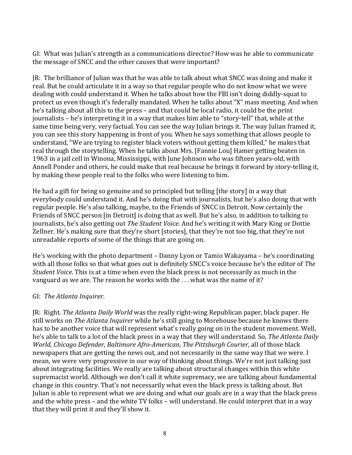GI: What was Julian's strength as a communications director? How was he able to communicate the message of SNCC and the other causes that were important?

JR: The brilliance of Julian was that he was able to talk about what SNCC was doing and make it real. But he could articulate it in a way so that regular people who do not know what we were dealing with could understand it. When he talks about how the FBI isn't doing diddly-squat to protect us even though it's federally mandated. When he talks about "X" mass meeting. And when he's talking about all this to the press – and that could be local radio, it could be the print journalists – he's interpreting it in a way that makes him able to "story-tell" that, while at the same time being very, very factual. You can see the way Julian brings it. The way Julian framed it, you can see this story happening in front of you. When he says something that allows people to understand, "We are trying to register black voters without getting them killed," he makes that real through the storytelling. When he talks about Mrs. [Fannie Lou] Hamer getting beaten in 1963 in a jail cell in Winona, Mississippi, with June Johnson who was fifteen years-old, with Annell Ponder and others, he could make that real because he brings it forward by story-telling it, by making these people real to the folks who were listening to him.

He had a gift for being so genuine and so principled but telling  $[the story]$  in a way that everybody could understand it. And he's doing that with journalists, but he's also doing that with regular people. He's also talking, maybe, to the Friends of SNCC in Detroit. Now certainly the Friends of SNCC person [in Detroit] is doing that as well. But he's also, in addition to talking to journalists, he's also getting out The Student Voice. And he's writing it with Mary King or Dottie Zellner. He's making sure that they're short [stories], that they're not too big, that they're not unreadable reports of some of the things that are going on.

He's working with the photo department - Danny Lyon or Tamio Wakayama - he's coordinating with all those folks so that what goes out is definitely SNCC's voice because he's the editor of The *Student Voice*. This is at a time when even the black press is not necessarily as much in the vanguard as we are. The reason he works with the  $\ldots$  what was the name of it?

### GI: *The Atlanta Inquirer*.

JR: Right. *The Atlanta Daily World* was the really right-wing Republican paper, black paper. He still works on *The Atlanta Inquirer* while he's still going to Morehouse because he knows there has to be another voice that will represent what's really going on in the student movement. Well, he's able to talk to a lot of the black press in a way that they will understand. So, *The Atlanta Daily World, Chicago Defender, Baltimore Afro-American, The Pittsburgh Courier, all of those black* newspapers that are getting the news out, and not necessarily in the same way that we were. I mean, we were very progressive in our way of thinking about things. We're not just talking just about integrating facilities. We really are talking about structural changes within this white supremacist world. Although we don't call it white supremacy, we are talking about fundamental change in this country. That's not necessarily what even the black press is talking about. But Julian is able to represent what we are doing and what our goals are in a way that the black press and the white press – and the white TV folks – will understand. He could interpret that in a way that they will print it and they'll show it.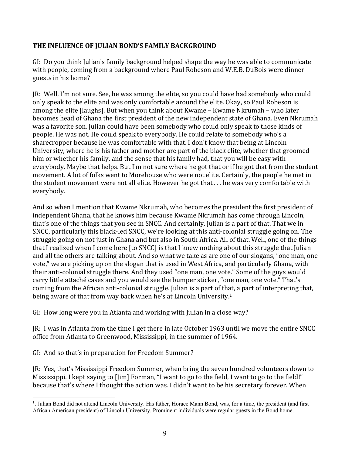#### **THE INFLUENCE OF JULIAN BOND'S FAMILY BACKGROUND**

GI: Do you think Julian's family background helped shape the way he was able to communicate with people, coming from a background where Paul Robeson and W.E.B. DuBois were dinner guests in his home?

JR: Well, I'm not sure. See, he was among the elite, so you could have had somebody who could only speak to the elite and was only comfortable around the elite. Okay, so Paul Robeson is among the elite  $\lceil \text{aughs} \rceil$ . But when you think about Kwame – Kwame Nkrumah – who later becomes head of Ghana the first president of the new independent state of Ghana. Even Nkrumah was a favorite son. Julian could have been somebody who could only speak to those kinds of people. He was not. He could speak to everybody. He could relate to somebody who's a sharecropper because he was comfortable with that. I don't know that being at Lincoln University, where he is his father and mother are part of the black elite, whether that groomed him or whether his family, and the sense that his family had, that you will be easy with everybody. Maybe that helps. But I'm not sure where he got that or if he got that from the student movement. A lot of folks went to Morehouse who were not elite. Certainly, the people he met in the student movement were not all elite. However he got that  $\dots$  he was very comfortable with everybody. 

And so when I mention that Kwame Nkrumah, who becomes the president the first president of independent Ghana, that he knows him because Kwame Nkrumah has come through Lincoln, that's one of the things that you see in SNCC. And certainly, Julian is a part of that. That we in SNCC, particularly this black-led SNCC, we're looking at this anti-colonial struggle going on. The struggle going on not just in Ghana and but also in South Africa. All of that. Well, one of the things that I realized when I come here  $[$  to SNCC] is that I knew nothing about this struggle that Julian and all the others are talking about. And so what we take as are one of our slogans, "one man, one vote," we are picking up on the slogan that is used in West Africa, and particularly Ghana, with their anti-colonial struggle there. And they used "one man, one vote." Some of the guys would carry little attaché cases and you would see the bumper sticker, "one man, one vote." That's coming from the African anti-colonial struggle. Julian is a part of that, a part of interpreting that, being aware of that from way back when he's at Lincoln University.<sup>1</sup>

GI: How long were you in Atlanta and working with Julian in a close way?

JR: I was in Atlanta from the time I get there in late October 1963 until we move the entire SNCC office from Atlanta to Greenwood, Mississippi, in the summer of 1964.

GI: And so that's in preparation for Freedom Summer?

JR: Yes, that's Mississippi Freedom Summer, when bring the seven hundred volunteers down to Mississippi. I kept saying to  $\lceil \text{lim} \rceil$  Forman, "I want to go to the field, I want to go to the field!" because that's where I thought the action was. I didn't want to be his secretary forever. When

 $\frac{1}{1}$ <sup>1</sup>. Julian Bond did not attend Lincoln University. His father, Horace Mann Bond, was, for a time, the president (and first African American president) of Lincoln University. Prominent individuals were regular guests in the Bond home.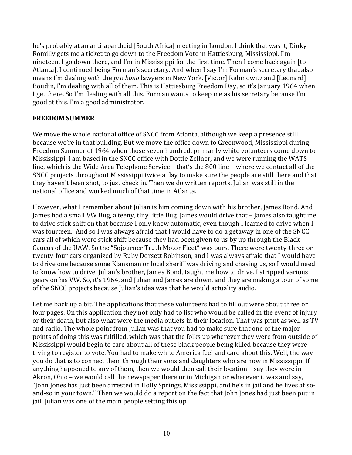he's probably at an anti-apartheid [South Africa] meeting in London, I think that was it, Dinky Romilly gets me a ticket to go down to the Freedom Vote in Hattiesburg, Mississippi. I'm nineteen. I go down there, and I'm in Mississippi for the first time. Then I come back again [to Atlanta]. I continued being Forman's secretary. And when I say I'm Forman's secretary that also means I'm dealing with the *pro bono* lawyers in New York. [Victor] Rabinowitz and [Leonard] Boudin, I'm dealing with all of them. This is Hattiesburg Freedom Day, so it's January 1964 when I get there. So I'm dealing with all this. Forman wants to keep me as his secretary because I'm good at this. I'm a good administrator.

#### **FREEDOM SUMMER**

We move the whole national office of SNCC from Atlanta, although we keep a presence still because we're in that building. But we move the office down to Greenwood, Mississippi during Freedom Summer of 1964 when those seven hundred, primarily white volunteers come down to Mississippi. I am based in the SNCC office with Dottie Zellner, and we were running the WATS line, which is the Wide Area Telephone Service – that's the 800 line – where we contact all of the SNCC projects throughout Mississippi twice a day to make sure the people are still there and that they haven't been shot, to just check in. Then we do written reports. Julian was still in the national office and worked much of that time in Atlanta.

However, what I remember about Julian is him coming down with his brother, James Bond. And James had a small VW Bug, a teeny, tiny little Bug. James would drive that – James also taught me to drive stick shift on that because I only knew automatic, even though I learned to drive when I was fourteen. And so I was always afraid that I would have to do a getaway in one of the SNCC cars all of which were stick shift because they had been given to us by up through the Black Caucus of the UAW. So the "Sojourner Truth Motor Fleet" was ours. There were twenty-three or twenty-four cars organized by Ruby Dorsett Robinson, and I was always afraid that I would have to drive one because some Klansman or local sheriff was driving and chasing us, so I would need to know how to drive. Julian's brother, James Bond, taught me how to drive. I stripped various gears on his VW. So, it's 1964, and Julian and James are down, and they are making a tour of some of the SNCC projects because Julian's idea was that he would actuality audio.

Let me back up a bit. The applications that these volunteers had to fill out were about three or four pages. On this application they not only had to list who would be called in the event of injury or their death, but also what were the media outlets in their location. That was print as well as TV and radio. The whole point from Julian was that you had to make sure that one of the major points of doing this was fulfilled, which was that the folks up wherever they were from outside of Mississippi would begin to care about all of these black people being killed because they were trying to register to vote. You had to make white America feel and care about this. Well, the way you do that is to connect them through their sons and daughters who are now in Mississippi. If anything happened to any of them, then we would then call their location  $-$  say they were in Akron, Ohio – we would call the newspaper there or in Michigan or wherever it was and say, "John Jones has just been arrested in Holly Springs, Mississippi, and he's in jail and he lives at soand-so in your town." Then we would do a report on the fact that John Jones had just been put in jail. Julian was one of the main people setting this up.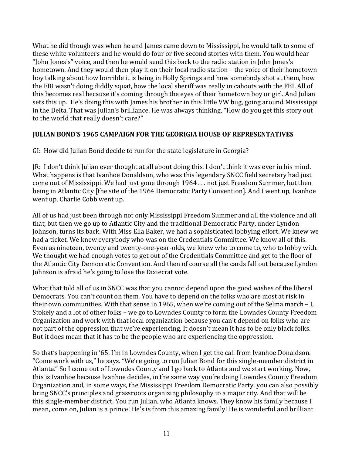What he did though was when he and James came down to Mississippi, he would talk to some of these white volunteers and he would do four or five second stories with them. You would hear "John Jones's" voice, and then he would send this back to the radio station in John Jones's hometown. And they would then play it on their local radio station – the voice of their hometown boy talking about how horrible it is being in Holly Springs and how somebody shot at them, how the FBI wasn't doing diddly squat, how the local sheriff was really in cahoots with the FBI. All of this becomes real because it's coming through the eyes of their hometown boy or girl. And Julian sets this up. He's doing this with James his brother in this little VW bug, going around Mississippi in the Delta. That was Julian's brilliance. He was always thinking, "How do you get this story out to the world that really doesn't care?"

#### **JULIAN BOND'S 1965 CAMPAIGN FOR THE GEORIGIA HOUSE OF REPRESENTATIVES**

GI: How did Julian Bond decide to run for the state legislature in Georgia?

JR: I don't think Julian ever thought at all about doing this. I don't think it was ever in his mind. What happens is that Ivanhoe Donaldson, who was this legendary SNCC field secretary had just come out of Mississippi. We had just gone through 1964 . . . not just Freedom Summer, but then being in Atlantic City [the site of the 1964 Democratic Party Convention]. And I went up, Ivanhoe went up, Charlie Cobb went up.

All of us had just been through not only Mississippi Freedom Summer and all the violence and all that, but then we go up to Atlantic City and the traditional Democratic Party, under Lyndon Johnson, turns its back. With Miss Ella Baker, we had a sophisticated lobbying effort. We knew we had a ticket. We knew everybody who was on the Credentials Committee. We know all of this. Even as nineteen, twenty and twenty-one-year-olds, we knew who to come to, who to lobby with. We thought we had enough votes to get out of the Credentials Committee and get to the floor of the Atlantic City Democratic Convention. And then of course all the cards fall out because Lyndon Johnson is afraid he's going to lose the Dixiecrat vote.

What that told all of us in SNCC was that you cannot depend upon the good wishes of the liberal Democrats. You can't count on them. You have to depend on the folks who are most at risk in their own communities. With that sense in 1965, when we're coming out of the Selma march  $-$  I, Stokely and a lot of other folks – we go to Lowndes County to form the Lowndes County Freedom Organization and work with that local organization because you can't depend on folks who are not part of the oppression that we're experiencing. It doesn't mean it has to be only black folks. But it does mean that it has to be the people who are experiencing the oppression.

So that's happening in '65. I'm in Lowndes County, when I get the call from Ivanhoe Donaldson. "Come work with us," he says. "We're going to run Julian Bond for this single-member district in Atlanta." So I come out of Lowndes County and I go back to Atlanta and we start working. Now, this is Ivanhoe because Ivanhoe decides, in the same way you're doing Lowndes County Freedom Organization and, in some ways, the Mississippi Freedom Democratic Party, you can also possibly bring SNCC's principles and grassroots organizing philosophy to a major city. And that will be this single-member district. You run Julian, who Atlanta knows. They know his family because I mean, come on, Julian is a prince! He's is from this amazing family! He is wonderful and brilliant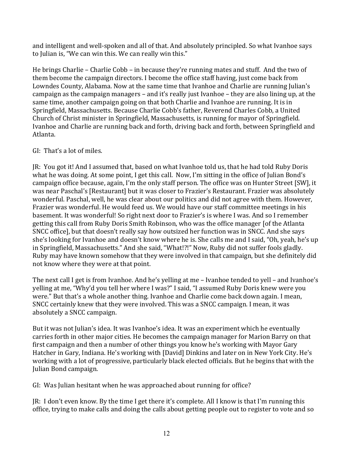and intelligent and well-spoken and all of that. And absolutely principled. So what Ivanhoe says to Julian is, "We can win this. We can really win this."

He brings Charlie – Charlie Cobb – in because they're running mates and stuff. And the two of them become the campaign directors. I become the office staff having, just come back from Lowndes County, Alabama. Now at the same time that Ivanhoe and Charlie are running Julian's campaign as the campaign managers – and it's really just Ivanhoe – they are also lining up, at the same time, another campaign going on that both Charlie and Ivanhoe are running. It is in Springfield, Massachusetts. Because Charlie Cobb's father, Reverend Charles Cobb, a United Church of Christ minister in Springfield, Massachusetts, is running for mayor of Springfield. Ivanhoe and Charlie are running back and forth, driving back and forth, between Springfield and Atlanta. 

### GI: That's a lot of miles.

JR: You got it! And I assumed that, based on what Ivanhoe told us, that he had told Ruby Doris what he was doing. At some point, I get this call. Now, I'm sitting in the office of Julian Bond's campaign office because, again, I'm the only staff person. The office was on Hunter Street [SW], it was near Paschal's [Restaurant] but it was closer to Frazier's Restaurant. Frazier was absolutely wonderful. Paschal, well, he was clear about our politics and did not agree with them. However, Frazier was wonderful. He would feed us. We would have our staff committee meetings in his basement. It was wonderful! So right next door to Frazier's is where I was. And so I remember getting this call from Ruby Doris Smith Robinson, who was the office manager [of the Atlanta] SNCC office], but that doesn't really say how outsized her function was in SNCC. And she says she's looking for Ivanhoe and doesn't know where he is. She calls me and I said, "Oh, yeah, he's up in Springfield, Massachusetts." And she said, "What!?!" Now, Ruby did not suffer fools gladly. Ruby may have known somehow that they were involved in that campaign, but she definitely did not know where they were at that point.

The next call I get is from Ivanhoe. And he's yelling at me – Ivanhoe tended to yell – and Ivanhoe's yelling at me, "Why'd you tell her where I was?" I said, "I assumed Ruby Doris knew were you were." But that's a whole another thing. Ivanhoe and Charlie come back down again. I mean, SNCC certainly knew that they were involved. This was a SNCC campaign. I mean, it was absolutely a SNCC campaign.

But it was not Julian's idea. It was Ivanhoe's idea. It was an experiment which he eventually carries forth in other major cities. He becomes the campaign manager for Marion Barry on that first campaign and then a number of other things you know he's working with Mayor Gary Hatcher in Gary, Indiana. He's working with [David] Dinkins and later on in New York City. He's working with a lot of progressive, particularly black elected officials. But he begins that with the Julian Bond campaign.

GI: Was Julian hesitant when he was approached about running for office?

JR: I don't even know. By the time I get there it's complete. All I know is that I'm running this office, trying to make calls and doing the calls about getting people out to register to vote and so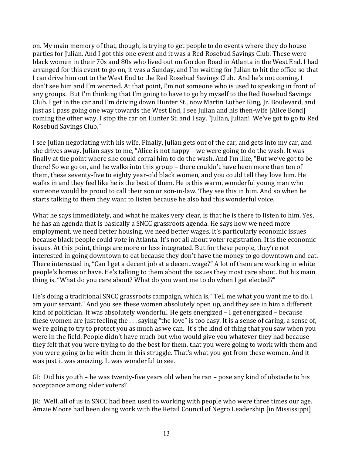on. My main memory of that, though, is trying to get people to do events where they do house parties for Julian. And I got this one event and it was a Red Rosebud Savings Club. These were black women in their 70s and 80s who lived out on Gordon Road in Atlanta in the West End. I had arranged for this event to go on, it was a Sunday, and I'm waiting for Julian to hit the office so that I can drive him out to the West End to the Red Rosebud Savings Club. And he's not coming. I don't see him and I'm worried. At that point, I'm not someone who is used to speaking in front of any groups. But I'm thinking that I'm going to have to go by myself to the Red Rosebud Savings Club. I get in the car and I'm driving down Hunter St., now Martin Luther King, Jr. Boulevard, and just as I pass going one way towards the West End, I see Julian and his then-wife [Alice Bond] coming the other way. I stop the car on Hunter St, and I say, "Julian, Julian! We've got to go to Red Rosebud Savings Club."

I see Julian negotiating with his wife. Finally, Julian gets out of the car, and gets into my car, and she drives away. Julian says to me, "Alice is not happy – we were going to do the wash. It was finally at the point where she could corral him to do the wash. And I'm like, "But we've got to be there! So we go on, and he walks into this group – there couldn't have been more than ten of them, these seventy-five to eighty year-old black women, and you could tell they love him. He walks in and they feel like he is the best of them. He is this warm, wonderful young man who someone would be proud to call their son or son-in-law. They see this in him. And so when he starts talking to them they want to listen because he also had this wonderful voice.

What he says immediately, and what he makes very clear, is that he is there to listen to him. Yes, he has an agenda that is basically a SNCC grassroots agenda. He says how we need more employment, we need better housing, we need better wages. It's particularly economic issues because black people could vote in Atlanta. It's not all about voter registration. It is the economic issues. At this point, things are more or less integrated. But for these people, they're not interested in going downtown to eat because they don't have the money to go downtown and eat. There interested in, "Can I get a decent job at a decent wage?" A lot of them are working in white people's homes or have. He's talking to them about the issues they most care about. But his main thing is, "What do you care about? What do you want me to do when I get elected?"

He's doing a traditional SNCC grassroots campaign, which is, "Tell me what you want me to do. I am your servant." And you see these women absolutely open up, and they see in him a different kind of politician. It was absolutely wonderful. He gets energized - I get energized - because these women are just feeling the  $\dots$  saying "the love" is too easy. It is a sense of caring, a sense of, we're going to try to protect you as much as we can. It's the kind of thing that you saw when you were in the field. People didn't have much but who would give you whatever they had because they felt that you were trying to do the best for them, that you were going to work with them and you were going to be with them in this struggle. That's what you got from these women. And it was just it was amazing. It was wonderful to see.

GI: Did his youth – he was twenty-five years old when he ran – pose any kind of obstacle to his acceptance among older voters?

JR: Well, all of us in SNCC had been used to working with people who were three times our age. Amzie Moore had been doing work with the Retail Council of Negro Leadership [in Mississippi]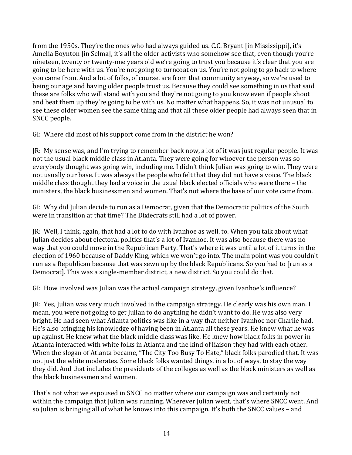from the 1950s. They're the ones who had always guided us. C.C. Bryant [in Mississippi], it's Amelia Boynton [in Selma], it's all the older activists who somehow see that, even though you're nineteen, twenty or twenty-one years old we're going to trust you because it's clear that you are going to be here with us. You're not going to turncoat on us. You're not going to go back to where you came from. And a lot of folks, of course, are from that community anyway, so we're used to being our age and having older people trust us. Because they could see something in us that said these are folks who will stand with you and they're not going to you know even if people shoot and beat them up they're going to be with us. No matter what happens. So, it was not unusual to see these older women see the same thing and that all these older people had always seen that in SNCC people.

GI: Where did most of his support come from in the district he won?

JR: My sense was, and I'm trying to remember back now, a lot of it was just regular people. It was not the usual black middle class in Atlanta. They were going for whoever the person was so everybody thought was going win, including me. I didn't think Julian was going to win. They were not usually our base. It was always the people who felt that they did not have a voice. The black middle class thought they had a voice in the usual black elected officials who were there - the ministers, the black businessmen and women. That's not where the base of our vote came from.

GI: Why did Julian decide to run as a Democrat, given that the Democratic politics of the South were in transition at that time? The Dixiecrats still had a lot of power.

JR: Well, I think, again, that had a lot to do with Ivanhoe as well. to. When you talk about what Julian decides about electoral politics that's a lot of Ivanhoe. It was also because there was no way that you could move in the Republican Party. That's where it was until a lot of it turns in the election of 1960 because of Daddy King, which we won't go into. The main point was you couldn't run as a Republican because that was sewn up by the black Republicans. So you had to [run as a Democrat]. This was a single-member district, a new district. So you could do that.

GI: How involved was Julian was the actual campaign strategy, given Ivanhoe's influence?

JR: Yes, Julian was very much involved in the campaign strategy. He clearly was his own man. I mean, you were not going to get Julian to do anything he didn't want to do. He was also very bright. He had seen what Atlanta politics was like in a way that neither Ivanhoe nor Charlie had. He's also bringing his knowledge of having been in Atlanta all these years. He knew what he was up against. He knew what the black middle class was like. He knew how black folks in power in Atlanta interacted with white folks in Atlanta and the kind of liaison they had with each other. When the slogan of Atlanta became, "The City Too Busy To Hate," black folks parodied that. It was not just the white moderates. Some black folks wanted things, in a lot of ways, to stay the way they did. And that includes the presidents of the colleges as well as the black ministers as well as the black businessmen and women.

That's not what we espoused in SNCC no matter where our campaign was and certainly not within the campaign that Julian was running. Wherever Julian went, that's where SNCC went. And so Julian is bringing all of what he knows into this campaign. It's both the SNCC values – and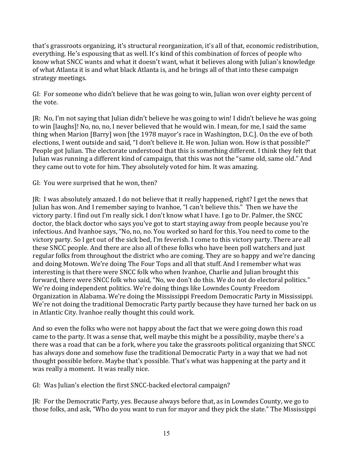that's grassroots organizing, it's structural reorganization, it's all of that, economic redistribution, everything. He's espousing that as well. It's kind of this combination of forces of people who know what SNCC wants and what it doesn't want, what it believes along with Julian's knowledge of what Atlanta it is and what black Atlanta is, and he brings all of that into these campaign strategy meetings. 

GI: For someone who didn't believe that he was going to win, Julian won over eighty percent of the vote.

JR: No, I'm not saying that Julian didn't believe he was going to win! I didn't believe he was going to win [laughs]! No, no, no, I never believed that he would win. I mean, for me, I said the same thing when Marion [Barry] won [the 1978 mayor's race in Washington, D.C.]. On the eve of both elections, I went outside and said, "I don't believe it. He won. Julian won. How is that possible?" People got Julian. The electorate understood that this is something different. I think they felt that Julian was running a different kind of campaign, that this was not the "same old, same old." And they came out to vote for him. They absolutely voted for him. It was amazing.

GI: You were surprised that he won, then?

JR: I was absolutely amazed. I do not believe that it really happened, right? I get the news that Julian has won. And I remember saying to Ivanhoe, "I can't believe this." Then we have the victory party. I find out I'm really sick. I don't know what I have. I go to Dr. Palmer, the SNCC doctor, the black doctor who says you've got to start staying away from people because you're infectious. And Ivanhoe says, "No, no, no. You worked so hard for this. You need to come to the victory party. So I get out of the sick bed, I'm feverish. I come to this victory party. There are all these SNCC people. And there are also all of these folks who have been poll watchers and just regular folks from throughout the district who are coming. They are so happy and we're dancing and doing Motown. We're doing The Four Tops and all that stuff. And I remember what was interesting is that there were SNCC folk who when Ivanhoe, Charlie and Julian brought this forward, there were SNCC folk who said, "No, we don't do this. We do not do electoral politics." We're doing independent politics. We're doing things like Lowndes County Freedom Organization in Alabama. We're doing the Mississippi Freedom Democratic Party in Mississippi. We're not doing the traditional Democratic Party partly because they have turned her back on us in Atlantic City. Ivanhoe really thought this could work.

And so even the folks who were not happy about the fact that we were going down this road came to the party. It was a sense that, well maybe this might be a possibility, maybe there's a there was a road that can be a fork, where you take the grassroots political organizing that SNCC has always done and somehow fuse the traditional Democratic Party in a way that we had not thought possible before. Maybe that's possible. That's what was happening at the party and it was really a moment. It was really nice.

GI: Was Julian's election the first SNCC-backed electoral campaign?

JR: For the Democratic Party, yes. Because always before that, as in Lowndes County, we go to those folks, and ask, "Who do you want to run for mayor and they pick the slate." The Mississippi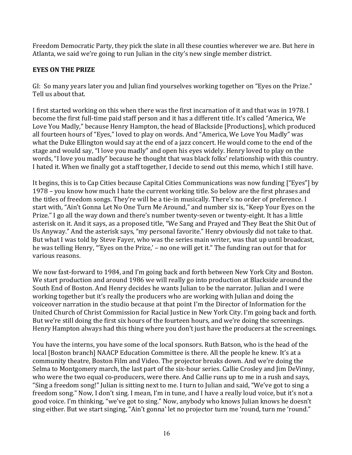Freedom Democratic Party, they pick the slate in all these counties wherever we are. But here in Atlanta, we said we're going to run Julian in the city's new single member district.

## **EYES ON THE PRIZE**

GI: So many years later you and Julian find yourselves working together on "Eyes on the Prize." Tell us about that.

I first started working on this when there was the first incarnation of it and that was in 1978. I become the first full-time paid staff person and it has a different title. It's called "America, We Love You Madly," because Henry Hampton, the head of Blackside [Productions], which produced all fourteen hours of "Eyes," loved to play on words. And "America, We Love You Madly" was what the Duke Ellington would say at the end of a jazz concert. He would come to the end of the stage and would say, "I love you madly" and open his eyes widely. Henry loved to play on the words, "I love you madly" because he thought that was black folks' relationship with this country. I hated it. When we finally got a staff together, I decide to send out this memo, which I still have.

It begins, this is to Cap Cities because Capital Cities Communications was now funding ["Eyes"] by 1978 – you know how much I hate the current working title. So below are the first phrases and the titles of freedom songs. They're will be a tie-in musically. There's no order of preference. I start with, "Ain't Gonna Let No One Turn Me Around," and number six is, "Keep Your Eyes on the Prize." I go all the way down and there's number twenty-seven or twenty-eight. It has a little asterisk on it. And it says, as a proposed title, "We Sang and Prayed and They Beat the Shit Out of Us Anyway." And the asterisk says, "my personal favorite." Henry obviously did not take to that. But what I was told by Steve Fayer, who was the series main writer, was that up until broadcast, he was telling Henry, "'Eyes on the Prize,' - no one will get it." The funding ran out for that for various reasons.

We now fast-forward to 1984, and I'm going back and forth between New York City and Boston. We start production and around 1986 we will really go into production at Blackside around the South End of Boston. And Henry decides he wants Julian to be the narrator. Julian and I were working together but it's really the producers who are working with Julian and doing the voiceover narration in the studio because at that point I'm the Director of Information for the United Church of Christ Commission for Racial Justice in New York City. I'm going back and forth. But we're still doing the first six hours of the fourteen hours, and we're doing the screenings. Henry Hampton always had this thing where you don't just have the producers at the screenings.

You have the interns, you have some of the local sponsors. Ruth Batson, who is the head of the local [Boston branch] NAACP Education Committee is there. All the people he knew. It's at a community theatre. Boston Film and Video. The projector breaks down. And we're doing the Selma to Montgomery march, the last part of the six-hour series. Callie Crosley and Jim DeVinny, who were the two equal co-producers, were there. And Callie runs up to me in a rush and says, "Sing a freedom song!" Julian is sitting next to me. I turn to Julian and said, "We've got to sing a freedom song." Now, I don't sing. I mean, I'm in tune, and I have a really loud voice, but it's not a good voice. I'm thinking, "we've got to sing." Now, anybody who knows Julian knows he doesn't sing either. But we start singing, "Ain't gonna' let no projector turn me 'round, turn me 'round."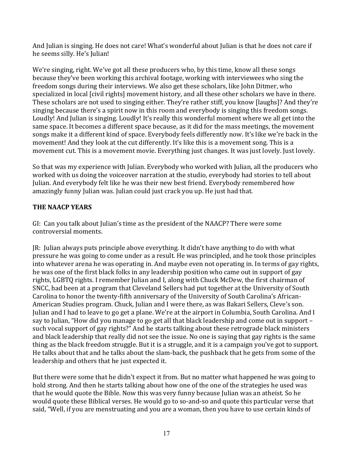And Julian is singing. He does not care! What's wonderful about Julian is that he does not care if he seems silly. He's Julian!

We're singing, right. We've got all these producers who, by this time, know all these songs because they've been working this archival footage, working with interviewees who sing the freedom songs during their interviews. We also get these scholars, like John Ditmer, who specialized in local [civil rights] movement history, and all these other scholars we have in there. These scholars are not used to singing either. They're rather stiff, you know [laughs]? And they're singing because there's a spirit now in this room and everybody is singing this freedom songs. Loudly! And Julian is singing. Loudly! It's really this wonderful moment where we all get into the same space. It becomes a different space because, as it did for the mass meetings, the movement songs make it a different kind of space. Everybody feels differently now. It's like we're back in the movement! And they look at the cut differently. It's like this is a movement song. This is a movement cut. This is a movement movie. Everything just changes. It was just lovely. Just lovely.

So that was my experience with Julian. Everybody who worked with Julian, all the producers who worked with us doing the voiceover narration at the studio, everybody had stories to tell about Julian. And everybody felt like he was their new best friend. Everybody remembered how amazingly funny Julian was. Julian could just crack you up. He just had that.

### **THE NAACP YEARS**

GI: Can you talk about Julian's time as the president of the NAACP? There were some controversial moments.

JR: Julian always puts principle above everything. It didn't have anything to do with what pressure he was going to come under as a result. He was principled, and he took those principles into whatever arena he was operating in. And maybe even not operating in. In terms of gay rights, he was one of the first black folks in any leadership position who came out in support of gay rights, LGBTQ rights. I remember Julian and I, along with Chuck McDew, the first chairman of SNCC, had been at a program that Cleveland Sellers had put together at the University of South Carolina to honor the twenty-fifth anniversary of the University of South Carolina's African-American Studies program. Chuck, Julian and I were there, as was Bakari Sellers, Cleve's son. Julian and I had to leave to go get a plane. We're at the airport in Columbia, South Carolina. And I say to Julian, "How did you manage to go get all that black leadership and come out in support such vocal support of gay rights?" And he starts talking about these retrograde black ministers and black leadership that really did not see the issue. No one is saying that gay rights is the same thing as the black freedom struggle. But it is a struggle, and it is a campaign you've got to support. He talks about that and he talks about the slam-back, the pushback that he gets from some of the leadership and others that he just expected it.

But there were some that he didn't expect it from. But no matter what happened he was going to hold strong. And then he starts talking about how one of the one of the strategies he used was that he would quote the Bible. Now this was very funny because Julian was an atheist. So he would quote these Biblical verses. He would go to so-and-so and quote this particular verse that said, "Well, if you are menstruating and you are a woman, then you have to use certain kinds of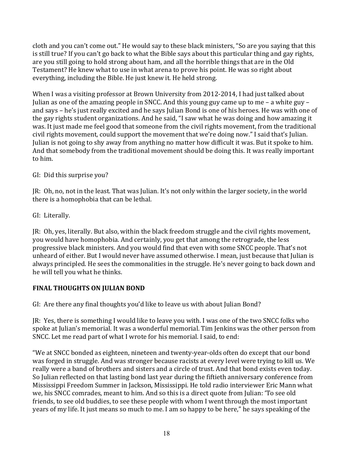cloth and you can't come out." He would say to these black ministers, "So are you saying that this is still true? If you can't go back to what the Bible says about this particular thing and gay rights, are you still going to hold strong about ham, and all the horrible things that are in the Old Testament? He knew what to use in what arena to prove his point. He was so right about everything, including the Bible. He just knew it. He held strong.

When I was a visiting professor at Brown University from 2012-2014, I had just talked about Julian as one of the amazing people in SNCC. And this young guy came up to me – a white guy – and says – he's just really excited and he says Julian Bond is one of his heroes. He was with one of the gay rights student organizations. And he said, "I saw what he was doing and how amazing it was. It just made me feel good that someone from the civil rights movement, from the traditional civil rights movement, could support the movement that we're doing now." I said that's Julian. Julian is not going to shy away from anything no matter how difficult it was. But it spoke to him. And that somebody from the traditional movement should be doing this. It was really important to him.

GI: Did this surprise you?

JR: Oh, no, not in the least. That was Julian. It's not only within the larger society, in the world there is a homophobia that can be lethal.

GI: Literally.

JR: Oh, yes, literally. But also, within the black freedom struggle and the civil rights movement, you would have homophobia. And certainly, you get that among the retrograde, the less progressive black ministers. And you would find that even with some SNCC people. That's not unheard of either. But I would never have assumed otherwise. I mean, just because that Julian is always principled. He sees the commonalities in the struggle. He's never going to back down and he will tell you what he thinks.

# **FINAL THOUGHTS ON JULIAN BOND**

GI: Are there any final thoughts you'd like to leave us with about Julian Bond?

JR: Yes, there is something I would like to leave you with. I was one of the two SNCC folks who spoke at Julian's memorial. It was a wonderful memorial. Tim Jenkins was the other person from SNCC. Let me read part of what I wrote for his memorial. I said, to end:

"We at SNCC bonded as eighteen, nineteen and twenty-year-olds often do except that our bond was forged in struggle. And was stronger because racists at every level were trying to kill us. We really were a band of brothers and sisters and a circle of trust. And that bond exists even today. So Julian reflected on that lasting bond last year during the fiftieth anniversary conference from Mississippi Freedom Summer in Jackson, Mississippi. He told radio interviewer Eric Mann what we, his SNCC comrades, meant to him. And so this is a direct quote from Julian: 'To see old friends, to see old buddies, to see these people with whom I went through the most important years of my life. It just means so much to me. I am so happy to be here," he says speaking of the